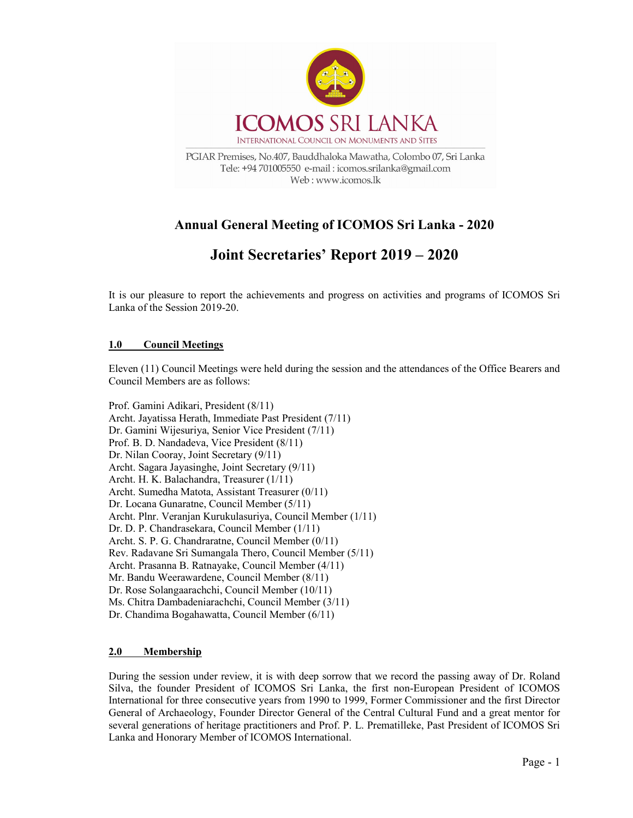

# Annual General Meeting of ICOMOS Sri Lanka - 2020

# Joint Secretaries' Report 2019 – 2020

It is our pleasure to report the achievements and progress on activities and programs of ICOMOS Sri Lanka of the Session 2019-20.

## 1.0 Council Meetings

Eleven (11) Council Meetings were held during the session and the attendances of the Office Bearers and Council Members are as follows:

Prof. Gamini Adikari, President (8/11) Archt. Jayatissa Herath, Immediate Past President (7/11) Dr. Gamini Wijesuriya, Senior Vice President (7/11) Prof. B. D. Nandadeva, Vice President (8/11) Dr. Nilan Cooray, Joint Secretary (9/11) Archt. Sagara Jayasinghe, Joint Secretary (9/11) Archt. H. K. Balachandra, Treasurer (1/11) Archt. Sumedha Matota, Assistant Treasurer (0/11) Dr. Locana Gunaratne, Council Member (5/11) Archt. Plnr. Veranjan Kurukulasuriya, Council Member (1/11) Dr. D. P. Chandrasekara, Council Member (1/11) Archt. S. P. G. Chandraratne, Council Member (0/11) Rev. Radavane Sri Sumangala Thero, Council Member (5/11) Archt. Prasanna B. Ratnayake, Council Member (4/11) Mr. Bandu Weerawardene, Council Member (8/11) Dr. Rose Solangaarachchi, Council Member (10/11) Ms. Chitra Dambadeniarachchi, Council Member (3/11) Dr. Chandima Bogahawatta, Council Member (6/11)

## 2.0 Membership

During the session under review, it is with deep sorrow that we record the passing away of Dr. Roland Silva, the founder President of ICOMOS Sri Lanka, the first non-European President of ICOMOS International for three consecutive years from 1990 to 1999, Former Commissioner and the first Director General of Archaeology, Founder Director General of the Central Cultural Fund and a great mentor for several generations of heritage practitioners and Prof. P. L. Prematilleke, Past President of ICOMOS Sri Lanka and Honorary Member of ICOMOS International.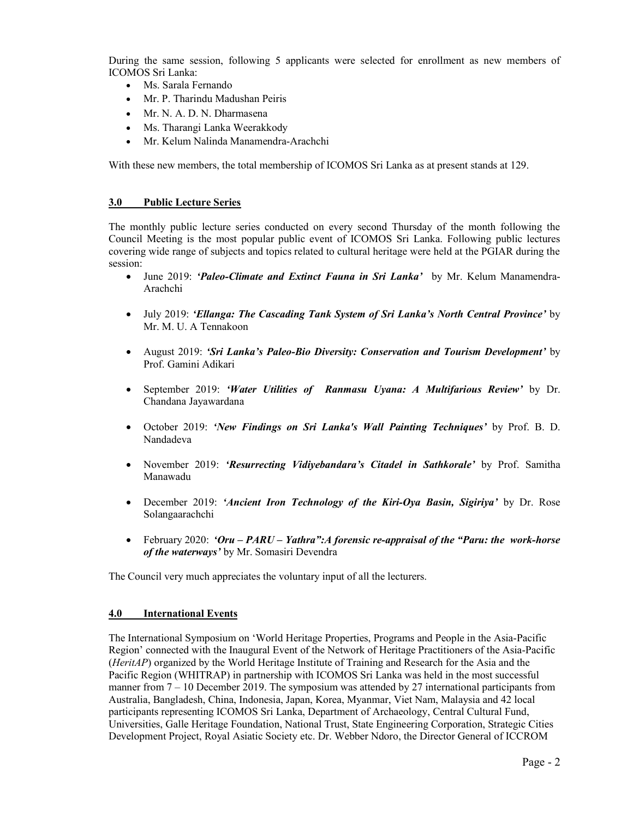During the same session, following 5 applicants were selected for enrollment as new members of ICOMOS Sri Lanka:

- Ms. Sarala Fernando
- Mr. P. Tharindu Madushan Peiris
- Mr. N. A. D. N. Dharmasena
- Ms. Tharangi Lanka Weerakkody
- Mr. Kelum Nalinda Manamendra-Arachchi

With these new members, the total membership of ICOMOS Sri Lanka as at present stands at 129.

#### 3.0 Public Lecture Series

The monthly public lecture series conducted on every second Thursday of the month following the Council Meeting is the most popular public event of ICOMOS Sri Lanka. Following public lectures covering wide range of subjects and topics related to cultural heritage were held at the PGIAR during the session:

- June 2019: 'Paleo-Climate and Extinct Fauna in Sri Lanka' by Mr. Kelum Manamendra-Arachchi
- July 2019: 'Ellanga: The Cascading Tank System of Sri Lanka's North Central Province' by Mr. M. U. A Tennakoon
- August 2019: 'Sri Lanka's Paleo-Bio Diversity: Conservation and Tourism Development' by Prof. Gamini Adikari
- September 2019: 'Water Utilities of Ranmasu Uyana: A Multifarious Review' by Dr. Chandana Jayawardana
- October 2019: 'New Findings on Sri Lanka's Wall Painting Techniques' by Prof. B. D. Nandadeva
- November 2019: 'Resurrecting Vidiyebandara's Citadel in Sathkorale' by Prof. Samitha Manawadu
- December 2019: 'Ancient Iron Technology of the Kiri-Oya Basin, Sigiriya' by Dr. Rose Solangaarachchi
- February 2020: 'Oru  $PARU Yathra$ ": A forensic re-appraisal of the "Paru: the work-horse of the waterways' by Mr. Somasiri Devendra

The Council very much appreciates the voluntary input of all the lecturers.

#### 4.0 International Events

The International Symposium on 'World Heritage Properties, Programs and People in the Asia-Pacific Region' connected with the Inaugural Event of the Network of Heritage Practitioners of the Asia-Pacific (HeritAP) organized by the World Heritage Institute of Training and Research for the Asia and the Pacific Region (WHITRAP) in partnership with ICOMOS Sri Lanka was held in the most successful manner from  $7 - 10$  December 2019. The symposium was attended by 27 international participants from Australia, Bangladesh, China, Indonesia, Japan, Korea, Myanmar, Viet Nam, Malaysia and 42 local participants representing ICOMOS Sri Lanka, Department of Archaeology, Central Cultural Fund, Universities, Galle Heritage Foundation, National Trust, State Engineering Corporation, Strategic Cities Development Project, Royal Asiatic Society etc. Dr. Webber Ndoro, the Director General of ICCROM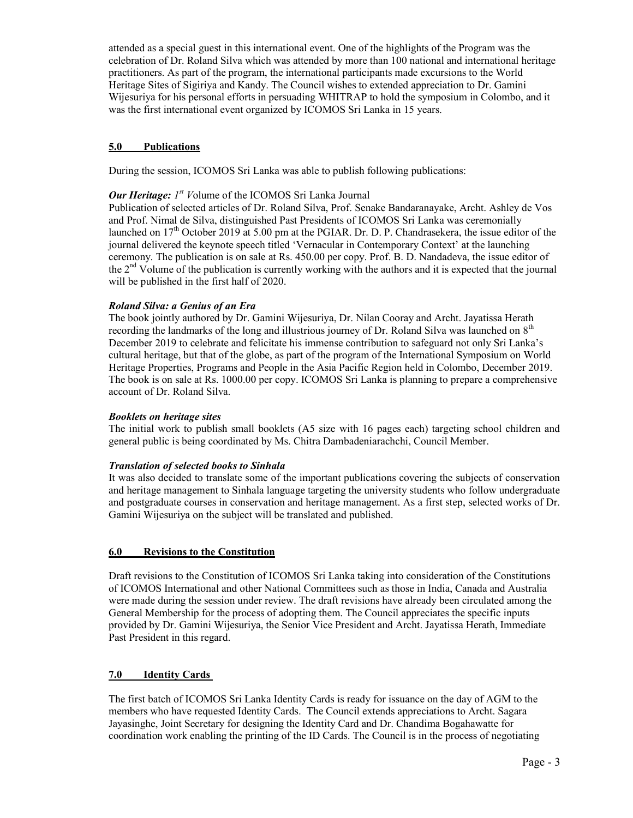attended as a special guest in this international event. One of the highlights of the Program was the celebration of Dr. Roland Silva which was attended by more than 100 national and international heritage practitioners. As part of the program, the international participants made excursions to the World Heritage Sites of Sigiriya and Kandy. The Council wishes to extended appreciation to Dr. Gamini Wijesuriya for his personal efforts in persuading WHITRAP to hold the symposium in Colombo, and it was the first international event organized by ICOMOS Sri Lanka in 15 years.

# 5.0 Publications

During the session, ICOMOS Sri Lanka was able to publish following publications:

# **Our Heritage:**  $I^{st}$  Volume of the ICOMOS Sri Lanka Journal

Publication of selected articles of Dr. Roland Silva, Prof. Senake Bandaranayake, Archt. Ashley de Vos and Prof. Nimal de Silva, distinguished Past Presidents of ICOMOS Sri Lanka was ceremonially launched on  $17<sup>th</sup>$  October 2019 at 5.00 pm at the PGIAR. Dr. D. P. Chandrasekera, the issue editor of the journal delivered the keynote speech titled 'Vernacular in Contemporary Context' at the launching ceremony. The publication is on sale at Rs. 450.00 per copy. Prof. B. D. Nandadeva, the issue editor of the 2<sup>nd</sup> Volume of the publication is currently working with the authors and it is expected that the journal will be published in the first half of 2020.

## Roland Silva: a Genius of an Era

The book jointly authored by Dr. Gamini Wijesuriya, Dr. Nilan Cooray and Archt. Jayatissa Herath recording the landmarks of the long and illustrious journey of Dr. Roland Silva was launched on  $8<sup>th</sup>$ December 2019 to celebrate and felicitate his immense contribution to safeguard not only Sri Lanka's cultural heritage, but that of the globe, as part of the program of the International Symposium on World Heritage Properties, Programs and People in the Asia Pacific Region held in Colombo, December 2019. The book is on sale at Rs. 1000.00 per copy. ICOMOS Sri Lanka is planning to prepare a comprehensive account of Dr. Roland Silva.

## Booklets on heritage sites

The initial work to publish small booklets (A5 size with 16 pages each) targeting school children and general public is being coordinated by Ms. Chitra Dambadeniarachchi, Council Member.

## Translation of selected books to Sinhala

It was also decided to translate some of the important publications covering the subjects of conservation and heritage management to Sinhala language targeting the university students who follow undergraduate and postgraduate courses in conservation and heritage management. As a first step, selected works of Dr. Gamini Wijesuriya on the subject will be translated and published.

## 6.0 Revisions to the Constitution

Draft revisions to the Constitution of ICOMOS Sri Lanka taking into consideration of the Constitutions of ICOMOS International and other National Committees such as those in India, Canada and Australia were made during the session under review. The draft revisions have already been circulated among the General Membership for the process of adopting them. The Council appreciates the specific inputs provided by Dr. Gamini Wijesuriya, the Senior Vice President and Archt. Jayatissa Herath, Immediate Past President in this regard.

## 7.0 Identity Cards

The first batch of ICOMOS Sri Lanka Identity Cards is ready for issuance on the day of AGM to the members who have requested Identity Cards. The Council extends appreciations to Archt. Sagara Jayasinghe, Joint Secretary for designing the Identity Card and Dr. Chandima Bogahawatte for coordination work enabling the printing of the ID Cards. The Council is in the process of negotiating